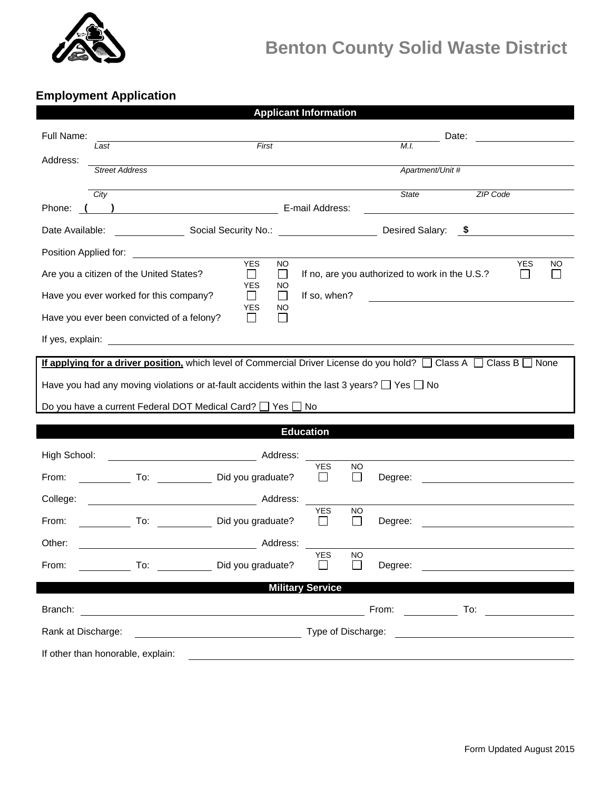

## **Benton County Solid Waste District**

## **Employment Application**

| <b>Applicant Information</b>                                                                                                       |                                                                                    |  |  |  |  |  |  |
|------------------------------------------------------------------------------------------------------------------------------------|------------------------------------------------------------------------------------|--|--|--|--|--|--|
| Full Name:                                                                                                                         | Date:                                                                              |  |  |  |  |  |  |
| First<br>Last<br>Address:                                                                                                          | M.I.                                                                               |  |  |  |  |  |  |
| <b>Street Address</b>                                                                                                              | Apartment/Unit #                                                                   |  |  |  |  |  |  |
| City                                                                                                                               | <b>State</b><br><b>ZIP Code</b>                                                    |  |  |  |  |  |  |
| Phone:<br>$\begin{array}{c} \hline \end{array}$                                                                                    | E-mail Address:                                                                    |  |  |  |  |  |  |
| Social Security No.:<br>Date Available:                                                                                            | Desired Salary:<br><b>\$</b>                                                       |  |  |  |  |  |  |
| Position Applied for:<br><u> 1989 - John Stone, Amerikaansk politiker (</u>                                                        |                                                                                    |  |  |  |  |  |  |
| <b>YES</b><br>Are you a citizen of the United States?<br>$\blacksquare$                                                            | <b>NO</b><br>YES<br>NO<br>If no, are you authorized to work in the U.S.?<br>$\Box$ |  |  |  |  |  |  |
| YES<br>Have you ever worked for this company?<br>$\mathbb{R}^n$                                                                    | NO<br>If so, when?<br>$\perp$                                                      |  |  |  |  |  |  |
| YES<br>Have you ever been convicted of a felony?                                                                                   | NO                                                                                 |  |  |  |  |  |  |
|                                                                                                                                    |                                                                                    |  |  |  |  |  |  |
| If applying for a driver position, which level of Commercial Driver License do you hold? $\Box$ Class A $\Box$ Class B $\Box$ None |                                                                                    |  |  |  |  |  |  |
| Have you had any moving violations or at-fault accidents within the last 3 years? $\Box$ Yes $\Box$ No                             |                                                                                    |  |  |  |  |  |  |
| Do you have a current Federal DOT Medical Card? □ Yes □ No                                                                         |                                                                                    |  |  |  |  |  |  |
| <b>Education</b>                                                                                                                   |                                                                                    |  |  |  |  |  |  |
| High School:                                                                                                                       | Address:                                                                           |  |  |  |  |  |  |
| To: Did you graduate?<br>From:                                                                                                     | YES<br>NO.<br>$\mathbf{I}$<br>Degree:<br>$\mathsf{L}$                              |  |  |  |  |  |  |
| College:                                                                                                                           |                                                                                    |  |  |  |  |  |  |
| To: Did you graduate?<br>From:                                                                                                     | <b>YES</b><br>NO<br>$\mathsf{L}$<br>$\mathsf{L}$<br>Degree:                        |  |  |  |  |  |  |
|                                                                                                                                    | Address:                                                                           |  |  |  |  |  |  |
| Other:                                                                                                                             | <b>YES</b><br><b>NO</b><br>$\Box$<br>П                                             |  |  |  |  |  |  |
|                                                                                                                                    |                                                                                    |  |  |  |  |  |  |
| <b>Military Service</b>                                                                                                            |                                                                                    |  |  |  |  |  |  |
|                                                                                                                                    |                                                                                    |  |  |  |  |  |  |
| Rank at Discharge:                                                                                                                 |                                                                                    |  |  |  |  |  |  |
| If other than honorable, explain:                                                                                                  |                                                                                    |  |  |  |  |  |  |